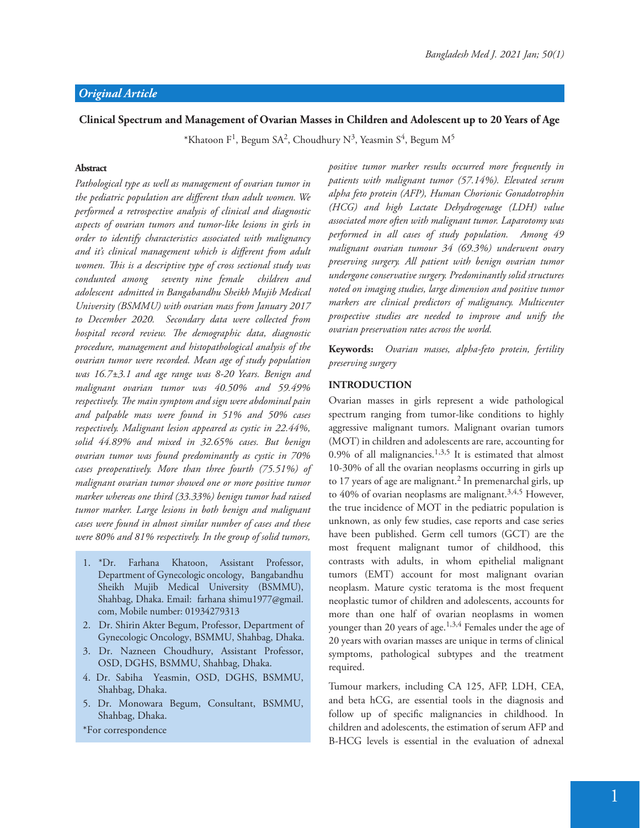## **Clinical Spectrum and Management of Ovarian Masses in Children and Adolescent up to 20 Years of Age**

\*Khatoon F<sup>1</sup>, Begum SA<sup>2</sup>, Choudhury N<sup>3</sup>, Yeasmin S<sup>4</sup>, Begum M<sup>5</sup>

## **Abstract**

*Pathological type as well as management of ovarian tumor in*  the pediatric population are different than adult women. We *performed a retrospective analysis of clinical and diagnostic aspects of ovarian tumors and tumor-like lesions in girls in order to identify characteristics associated with malignancy*  and it's clinical management which is different from adult *women. "is is a descriptive type of cross sectional study was condunted among seventy nine female children and adolescent admitted in Bangabandhu Sheikh Mujib Medical University (BSMMU) with ovarian mass from January 2017 to December 2020. Secondary data were collected from hospital record review. The demographic data, diagnostic procedure, management and histopathological analysis of the ovarian tumor were recorded. Mean age of study population was 16.7±3.1 and age range was 8-20 Years. Benign and malignant ovarian tumor was 40.50% and 59.49%*  respectively. The main symptom and sign were abdominal pain *and palpable mass were found in 51% and 50% cases respectively. Malignant lesion appeared as cystic in 22.44%, solid 44.89% and mixed in 32.65% cases. But benign ovarian tumor was found predominantly as cystic in 70% cases preoperatively. More than three fourth (75.51%) of malignant ovarian tumor showed one or more positive tumor marker whereas one third (33.33%) benign tumor had raised tumor marker. Large lesions in both benign and malignant cases were found in almost similar number of cases and these were 80% and 81% respectively. In the group of solid tumors,* 

- 1. \*Dr. Farhana Khatoon, Assistant Professor, Department of Gynecologic oncology, Bangabandhu Sheikh Mujib Medical University (BSMMU), Shahbag, Dhaka. Email: farhana shimu1977@gmail. com, Mobile number: 01934279313
- 2. Dr. Shirin Akter Begum, Professor, Department of Gynecologic Oncology, BSMMU, Shahbag, Dhaka.
- 3. Dr. Nazneen Choudhury, Assistant Professor, OSD, DGHS, BSMMU, Shahbag, Dhaka.
- 4. Dr. Sabiha Yeasmin, OSD, DGHS, BSMMU, Shahbag, Dhaka.
- 5. Dr. Monowara Begum, Consultant, BSMMU, Shahbag, Dhaka.

\*For correspondence

*positive tumor marker results occurred more frequently in patients with malignant tumor (57.14%). Elevated serum alpha feto protein (AFP), Human Chorionic Gonadotrophin (HCG) and high Lactate Dehydrogenage (LDH) value associated more often with malignant tumor. Laparotomy was performed in all cases of study population. Among 49 malignant ovarian tumour 34 (69.3%) underwent ovary preserving surgery. All patient with benign ovarian tumor undergone conservative surgery. Predominantly solid structures noted on imaging studies, large dimension and positive tumor markers are clinical predictors of malignancy. Multicenter prospective studies are needed to improve and unify the ovarian preservation rates across the world.* 

**Keywords:** *Ovarian masses, alpha-feto protein, fertility preserving surgery*

#### **INTRODUCTION**

Ovarian masses in girls represent a wide pathological spectrum ranging from tumor-like conditions to highly aggressive malignant tumors. Malignant ovarian tumors (MOT) in children and adolescents are rare, accounting for 0.9% of all malignancies.<sup>1,3,5</sup> It is estimated that almost 10-30% of all the ovarian neoplasms occurring in girls up to 17 years of age are malignant.<sup>2</sup> In premenarchal girls, up to 40% of ovarian neoplasms are malignant.<sup>3,4,5</sup> However, the true incidence of MOT in the pediatric population is unknown, as only few studies, case reports and case series have been published. Germ cell tumors (GCT) are the most frequent malignant tumor of childhood, this contrasts with adults, in whom epithelial malignant tumors (EMT) account for most malignant ovarian neoplasm. Mature cystic teratoma is the most frequent neoplastic tumor of children and adolescents, accounts for more than one half of ovarian neoplasms in women younger than 20 years of age.<sup>1,3,4</sup> Females under the age of 20 years with ovarian masses are unique in terms of clinical symptoms, pathological subtypes and the treatment required.

Tumour markers, including CA 125, AFP, LDH, CEA, and beta hCG, are essential tools in the diagnosis and follow up of specific malignancies in childhood. In children and adolescents, the estimation of serum AFP and B-HCG levels is essential in the evaluation of adnexal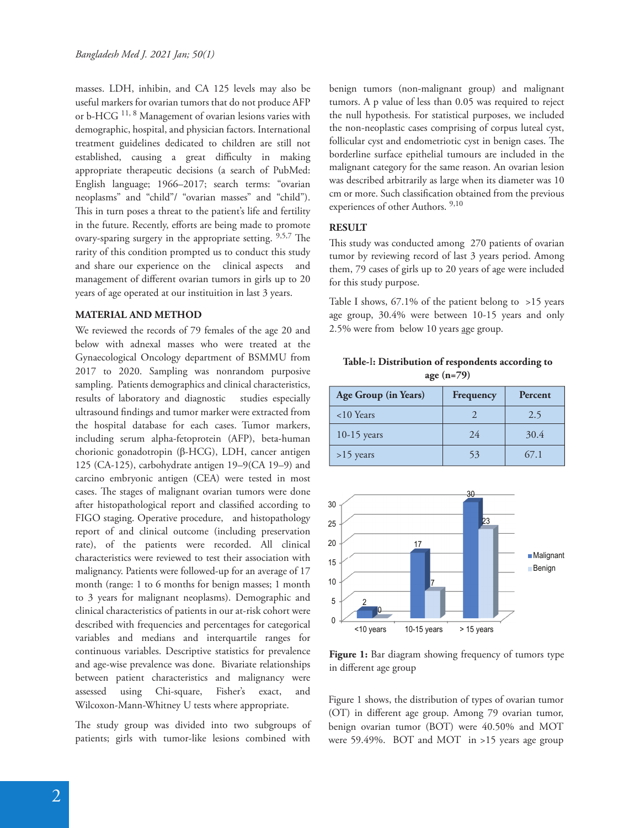masses. LDH, inhibin, and CA 125 levels may also be useful markers for ovarian tumors that do not produce AFP or b-HCG 11, 8 Management of ovarian lesions varies with demographic, hospital, and physician factors. International treatment guidelines dedicated to children are still not established, causing a great difficulty in making appropriate therapeutic decisions (a search of PubMed: English language; 1966–2017; search terms: "ovarian neoplasms" and "child"/ "ovarian masses" and "child"). This in turn poses a threat to the patient's life and fertility in the future. Recently, efforts are being made to promote ovary-sparing surgery in the appropriate setting. 9,5,7 The rarity of this condition prompted us to conduct this study and share our experience on the clinical aspects and management of different ovarian tumors in girls up to 20 years of age operated at our instituition in last 3 years.

#### **MATERIAL AND METHOD**

We reviewed the records of 79 females of the age 20 and below with adnexal masses who were treated at the Gynaecological Oncology department of BSMMU from 2017 to 2020. Sampling was nonrandom purposive sampling. Patients demographics and clinical characteristics, results of laboratory and diagnostic studies especially ultrasound findings and tumor marker were extracted from the hospital database for each cases. Tumor markers, including serum alpha-fetoprotein (AFP), beta-human chorionic gonadotropin (β-HCG), LDH, cancer antigen 125 (CA-125), carbohydrate antigen 19–9(CA 19–9) and carcino embryonic antigen (CEA) were tested in most cases. The stages of malignant ovarian tumors were done after histopathological report and classified according to FIGO staging. Operative procedure, and histopathology report of and clinical outcome (including preservation rate), of the patients were recorded. All clinical characteristics were reviewed to test their association with malignancy. Patients were followed-up for an average of 17 month (range: 1 to 6 months for benign masses; 1 month to 3 years for malignant neoplasms). Demographic and clinical characteristics of patients in our at-risk cohort were described with frequencies and percentages for categorical variables and medians and interquartile ranges for continuous variables. Descriptive statistics for prevalence and age-wise prevalence was done. Bivariate relationships between patient characteristics and malignancy were assessed using Chi-square, Fisher's exact, and Wilcoxon-Mann-Whitney U tests where appropriate.

The study group was divided into two subgroups of patients; girls with tumor-like lesions combined with

benign tumors (non-malignant group) and malignant tumors. A p value of less than 0.05 was required to reject the null hypothesis. For statistical purposes, we included the non-neoplastic cases comprising of corpus luteal cyst, follicular cyst and endometriotic cyst in benign cases. The borderline surface epithelial tumours are included in the malignant category for the same reason. An ovarian lesion was described arbitrarily as large when its diameter was 10 cm or more. Such classification obtained from the previous experiences of other Authors. 9,10

## **RESULT**

This study was conducted among 270 patients of ovarian tumor by reviewing record of last 3 years period. Among them, 79 cases of girls up to 20 years of age were included for this study purpose.

Table I shows, 67.1% of the patient belong to >15 years age group, 30.4% were between 10-15 years and only 2.5% were from below 10 years age group.

**Table-**Ⅰ**: Distribution of respondents according to age (n=79)** 

| Age Group (in Years) | Frequency | Percent |
|----------------------|-----------|---------|
| $10$ Years           |           | 2.5     |
| $10-15$ years        | 24        | 30.4    |
| $>15$ years          | 53        | 67.1    |



Figure 1: Bar diagram showing frequency of tumors type in different age group

Figure 1 shows, the distribution of types of ovarian tumor (OT) in different age group. Among 79 ovarian tumor, benign ovarian tumor (BOT) were 40.50% and MOT were 59.49%. BOT and MOT in >15 years age group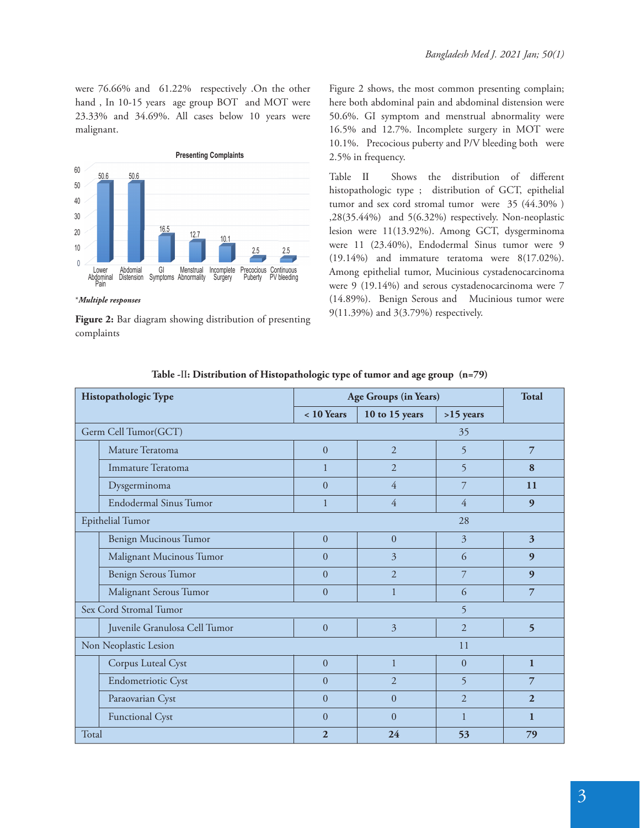were 76.66% and 61.22% respectively .On the other hand , In 10-15 years age group BOT and MOT were 23.33% and 34.69%. All cases below 10 years were malignant.



**Figure 2:** Bar diagram showing distribution of presenting complaints

Figure 2 shows, the most common presenting complain; here both abdominal pain and abdominal distension were 50.6%. GI symptom and menstrual abnormality were 16.5% and 12.7%. Incomplete surgery in MOT were 10.1%. Precocious puberty and P/V bleeding both were 2.5% in frequency.

Table II Shows the distribution of different histopathologic type ; distribution of GCT, epithelial tumor and sex cord stromal tumor were 35 (44.30% ) ,28(35.44%) and 5(6.32%) respectively. Non-neoplastic lesion were 11(13.92%). Among GCT, dysgerminoma were 11 (23.40%), Endodermal Sinus tumor were 9 (19.14%) and immature teratoma were 8(17.02%). Among epithelial tumor, Mucinious cystadenocarcinoma were 9 (19.14%) and serous cystadenocarcinoma were 7 (14.89%). Benign Serous and Mucinious tumor were 9(11.39%) and 3(3.79%) respectively.

| Histopathologic Type                     |                                  | Age Groups (in Years) |                |                | <b>Total</b>             |
|------------------------------------------|----------------------------------|-----------------------|----------------|----------------|--------------------------|
|                                          |                                  | $< 10$ Years          | 10 to 15 years | $>15$ years    |                          |
| Germ Cell Tumor(GCT)<br>35               |                                  |                       |                |                |                          |
|                                          | Mature Teratoma                  | $\overline{0}$        | 2              | 5              | 7                        |
|                                          | Immature Teratoma                | 1                     | $\mathfrak{D}$ | 5              | 8                        |
|                                          | Dysgerminoma                     | $\theta$              | $\overline{4}$ | 7              | 11                       |
|                                          | <b>Endodermal Sinus Tumor</b>    | $\mathbf{1}$          | $\overline{4}$ | $\overline{4}$ | $\boldsymbol{9}$         |
| Epithelial Tumor<br>28                   |                                  |                       |                |                |                          |
|                                          | Benign Mucinous Tumor            | $\overline{0}$        | $\mathbf{0}$   | $\overline{3}$ | 3                        |
|                                          | Malignant Mucinous Tumor         | $\overline{0}$        | $\overline{3}$ | 6              | 9                        |
|                                          | Benign Serous Tumor              | $\Omega$              | $\overline{2}$ | 7              | 9                        |
|                                          | Malignant Serous Tumor           | $\Omega$              | $\mathbf{1}$   | 6              | 7                        |
| Sex Cord Stromal Tumor<br>$\overline{5}$ |                                  |                       |                |                |                          |
|                                          | Juvenile Granulosa Cell Tumor    | $\overline{0}$        | 3              | 2              | $\overline{\phantom{0}}$ |
| Non Neoplastic Lesion<br>11              |                                  |                       |                |                |                          |
|                                          | Corpus Luteal Cyst               | $\overline{0}$        | $\mathbf{1}$   | $\Omega$       | $\mathbf{1}$             |
|                                          | Endometriotic Cyst               | $\overline{0}$        | $\overline{2}$ | $\overline{5}$ | 7                        |
|                                          | Paraovarian Cyst                 | $\overline{0}$        | $\Omega$       | $\overline{2}$ | $\overline{2}$           |
|                                          | <b>Functional Cyst</b>           | $\Omega$              | $\theta$       | 1              | $\mathbf{1}$             |
| Total                                    | $\overline{2}$<br>24<br>53<br>79 |                       |                |                |                          |

**Table -**Ⅱ**: Distribution of Histopathologic type of tumor and age group (n=79)**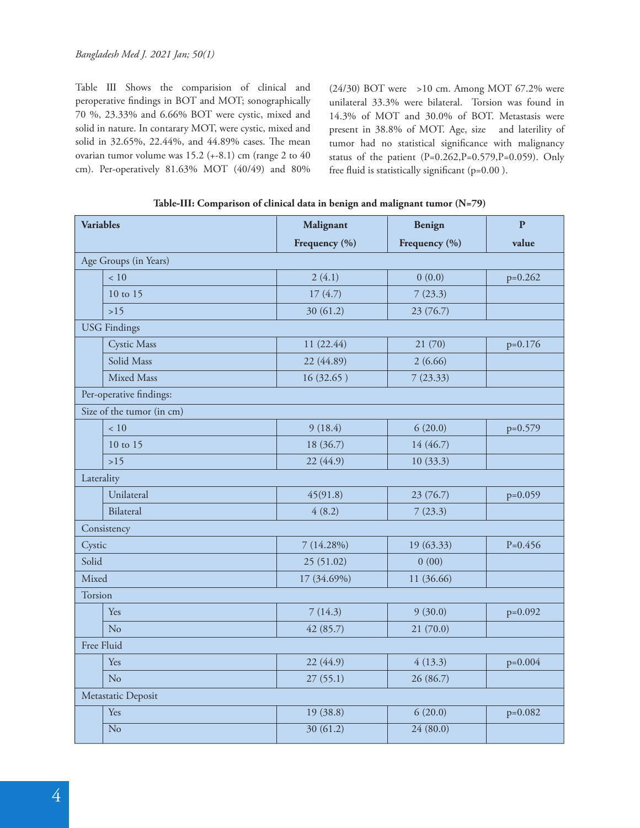Table Ⅲ Shows the comparision of clinical and peroperative findings in BOT and MOT; sonographically 70 %, 23.33% and 6.66% BOT were cystic, mixed and solid in nature. In contarary MOT, were cystic, mixed and solid in 32.65%, 22.44%, and 44.89% cases. The mean ovarian tumor volume was 15.2 (+-8.1) cm (range 2 to 40 cm). Per-operatively 81.63% MOT (40/49) and 80%

(24/30) BOT were >10 cm. Among MOT 67.2% were unilateral 33.3% were bilateral. Torsion was found in 14.3% of MOT and 30.0% of BOT. Metastasis were present in 38.8% of MOT. Age, size and laterility of tumor had no statistical significance with malignancy status of the patient (P=0.262,P=0.579,P=0.059). Only free fluid is statistically significant ( $p=0.00$  ).

| <b>Variables</b> |                           | Malignant     | <b>Benign</b> | $\overline{P}$ |
|------------------|---------------------------|---------------|---------------|----------------|
|                  |                           | Frequency (%) | Frequency (%) | value          |
|                  | Age Groups (in Years)     |               |               |                |
|                  | < 10                      | 2(4.1)        | 0(0.0)        | $p=0.262$      |
|                  | 10 to 15                  | 17(4.7)       | 7(23.3)       |                |
|                  | $>15$                     | 30 (61.2)     | 23 (76.7)     |                |
|                  | <b>USG</b> Findings       |               |               |                |
|                  | <b>Cystic Mass</b>        | 11 (22.44)    | 21(70)        | $p=0.176$      |
|                  | Solid Mass                | 22 (44.89)    | 2(6.66)       |                |
|                  | Mixed Mass                | 16(32.65)     | 7(23.33)      |                |
|                  | Per-operative findings:   |               |               |                |
|                  | Size of the tumor (in cm) |               |               |                |
|                  | < 10                      | 9(18.4)       | 6(20.0)       | $p=0.579$      |
|                  | 10 to 15                  | 18 (36.7)     | 14 (46.7)     |                |
|                  | $>15$                     | 22 (44.9)     | 10(33.3)      |                |
| Laterality       |                           |               |               |                |
|                  | Unilateral                | 45(91.8)      | 23 (76.7)     | $p=0.059$      |
|                  | Bilateral                 | 4(8.2)        | 7(23.3)       |                |
| Consistency      |                           |               |               |                |
| Cystic           |                           | 7(14.28%)     | 19 (63.33)    | $P=0.456$      |
| Solid            |                           | 25 (51.02)    | 0(00)         |                |
| Mixed            |                           | 17 (34.69%)   | 11 (36.66)    |                |
| Torsion          |                           |               |               |                |
|                  | Yes                       | 7(14.3)       | 9(30.0)       | $p=0.092$      |
|                  | No                        | 42(85.7)      | 21(70.0)      |                |
| Free Fluid       |                           |               |               |                |
|                  | Yes                       | 22 (44.9)     | 4(13.3)       | $p=0.004$      |
|                  | No                        | 27(55.1)      | 26 (86.7)     |                |
|                  | Metastatic Deposit        |               |               |                |
|                  | Yes                       | 19(38.8)      | 6(20.0)       | $p=0.082$      |
|                  | $\overline{No}$           | 30(61.2)      | 24(80.0)      |                |

|  | Table-III: Comparison of clinical data in benign and malignant tumor (N=79) |  |
|--|-----------------------------------------------------------------------------|--|
|  |                                                                             |  |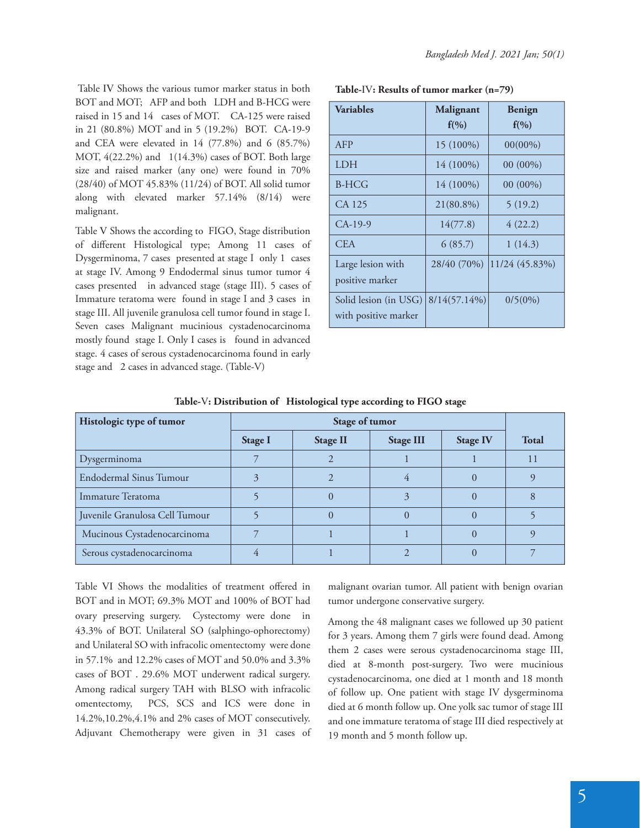Table Ⅳ Shows the various tumor marker status in both BOT and MOT; AFP and both LDH and B-HCG were raised in 15 and 14 cases of MOT. CA-125 were raised in 21 (80.8%) MOT and in 5 (19.2%) BOT. CA-19-9 and CEA were elevated in 14 (77.8%) and 6 (85.7%) MOT, 4(22.2%) and 1(14.3%) cases of BOT. Both large size and raised marker (any one) were found in 70% (28/40) of MOT 45.83% (11/24) of BOT. All solid tumor along with elevated marker 57.14% (8/14) were malignant.

Table V Shows the according to FIGO, Stage distribution of different Histological type; Among 11 cases of Dysgerminoma, 7 cases presented at stage I only 1 cases at stage IV. Among 9 Endodermal sinus tumor tumor 4 cases presented in advanced stage (stage III). 5 cases of Immature teratoma were found in stage I and 3 cases in stage III. All juvenile granulosa cell tumor found in stage I. Seven cases Malignant mucinious cystadenocarcinoma mostly found stage I. Only I cases is found in advanced stage. 4 cases of serous cystadenocarcinoma found in early stage and 2 cases in advanced stage. (Table-V)

**Table-**Ⅳ**: Results of tumor marker (n=79)**

| <b>Variables</b>                              | Malignant<br>$f(\%)$ | Benign<br>$f(\%)$ |
|-----------------------------------------------|----------------------|-------------------|
| AFP                                           | 15 (100%)            | $00(00\%)$        |
| LDH                                           | 14 (100%)            | $00(00\%)$        |
| <b>B-HCG</b>                                  | 14 (100%)            | 00 (00%)          |
| CA 125                                        | 21(80.8%)            | 5(19.2)           |
| $CA-19-9$                                     | 14(77.8)             | 4(22.2)           |
| <b>CEA</b>                                    | 6(85.7)              | 1(14.3)           |
| Large lesion with<br>positive marker          | 28/40 (70%)          | 11/24 (45.83%)    |
| Solid lesion (in USG)<br>with positive marker | $8/14(57.14\%)$      | $0/5(0\%)$        |

| Histologic type of tumor       | Stage of tumor |                 |                  |                 |              |
|--------------------------------|----------------|-----------------|------------------|-----------------|--------------|
|                                | Stage I        | <b>Stage II</b> | <b>Stage III</b> | <b>Stage IV</b> | <b>Total</b> |
| Dysgerminoma                   |                |                 |                  |                 | 11           |
| <b>Endodermal Sinus Tumour</b> | 3              |                 |                  |                 |              |
| Immature Teratoma              |                |                 | 3                |                 |              |
| Juvenile Granulosa Cell Tumour |                | 0               | $\left( \right)$ |                 |              |
| Mucinous Cystadenocarcinoma    |                |                 |                  |                 |              |
| Serous cystadenocarcinoma      |                |                 |                  |                 |              |

**Table-**Ⅴ**: Distribution of Histological type according to FIGO stage**

Table VI Shows the modalities of treatment offered in BOT and in MOT; 69.3% MOT and 100% of BOT had ovary preserving surgery. Cystectomy were done in 43.3% of BOT. Unilateral SO (salphingo-ophorectomy) and Unilateral SO with infracolic omentectomy were done in 57.1% and 12.2% cases of MOT and 50.0% and 3.3% cases of BOT . 29.6% MOT underwent radical surgery. Among radical surgery TAH with BLSO with infracolic omentectomy, PCS, SCS and ICS were done in 14.2%,10.2%,4.1% and 2% cases of MOT consecutively. Adjuvant Chemotherapy were given in 31 cases of malignant ovarian tumor. All patient with benign ovarian tumor undergone conservative surgery.

Among the 48 malignant cases we followed up 30 patient for 3 years. Among them 7 girls were found dead. Among them 2 cases were serous cystadenocarcinoma stage III, died at 8-month post-surgery. Two were mucinious cystadenocarcinoma, one died at 1 month and 18 month of follow up. One patient with stage IV dysgerminoma died at 6 month follow up. One yolk sac tumor of stage III and one immature teratoma of stage III died respectively at 19 month and 5 month follow up.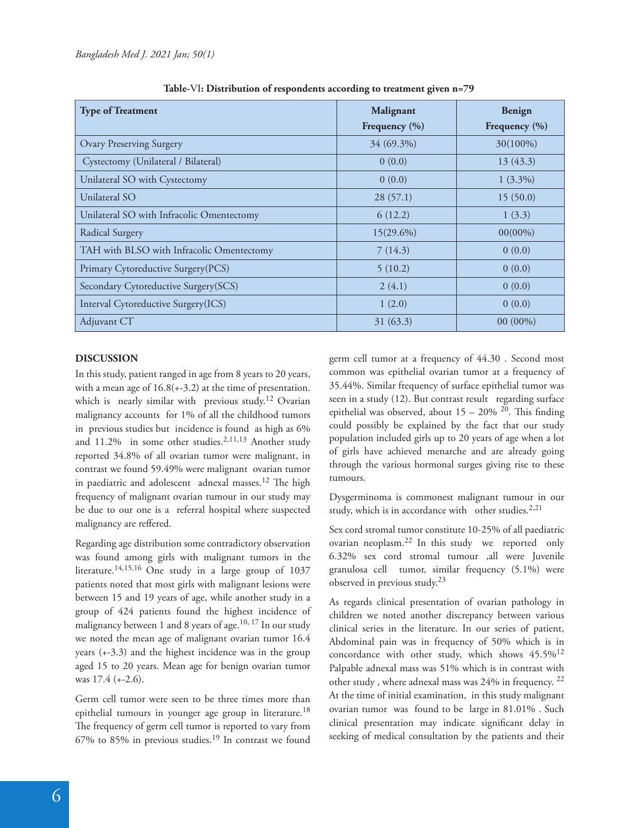| <b>Type of Treatment</b>                  | Malignant         | Benign            |  |
|-------------------------------------------|-------------------|-------------------|--|
|                                           | Frequency $(\% )$ | Frequency $(\% )$ |  |
| <b>Ovary Preserving Surgery</b>           | 34 (69.3%)        | $30(100\%)$       |  |
| Cystectomy (Unilateral / Bilateral)       | 0(0.0)            | 13(43.3)          |  |
| Unilateral SO with Cystectomy             | 0(0.0)            | $1(3.3\%)$        |  |
| Unilateral SO                             | 28(57.1)          | 15(50.0)          |  |
| Unilateral SO with Infracolic Omentectomy | 6(12.2)           | 1(3.3)            |  |
| Radical Surgery                           | $15(29.6\%)$      | $00(00\%)$        |  |
| TAH with BLSO with Infracolic Omentectomy | 7(14.3)           | 0(0.0)            |  |
| Primary Cytoreductive Surgery(PCS)        | 5(10.2)           | 0(0.0)            |  |
| Secondary Cytoreductive Surgery(SCS)      | 2(4.1)            | 0(0.0)            |  |
| Interval Cytoreductive Surgery(ICS)       | 1(2.0)            | 0(0.0)            |  |
| Adjuvant CT                               | 31(63.3)          | $00(00\%)$        |  |

**Table-**Ⅵ**: Distribution of respondents according to treatment given n=79**

## **DISCUSSION**

In this study, patient ranged in age from 8 years to 20 years, with a mean age of 16.8(+-3.2) at the time of presentation. which is nearly similar with previous study.<sup>12</sup> Ovarian malignancy accounts for 1% of all the childhood tumors in previous studies but incidence is found as high as 6% and 11.2% in some other studies.<sup>2,11,13</sup> Another study reported 34.8% of all ovarian tumor were malignant, in contrast we found 59.49% were malignant ovarian tumor in paediatric and adolescent adnexal masses.<sup>12</sup> The high frequency of malignant ovarian tumour in our study may be due to our one is a referral hospital where suspected malignancy are reffered.

Regarding age distribution some contradictory observation was found among girls with malignant tumors in the literature.<sup>14,15,16</sup> One study in a large group of  $1037$ patients noted that most girls with malignant lesions were between 15 and 19 years of age, while another study in a group of 424 patients found the highest incidence of malignancy between 1 and 8 years of age.<sup>10, 17</sup> In our study we noted the mean age of malignant ovarian tumor 16.4 years (+-3.3) and the highest incidence was in the group aged 15 to 20 years. Mean age for benign ovarian tumor was 17.4 (+-2.6).

Germ cell tumor were seen to be three times more than epithelial tumours in younger age group in literature.<sup>18</sup> The frequency of germ cell tumor is reported to vary from  $67%$  to  $85%$  in previous studies.<sup>19</sup> In contrast we found

germ cell tumor at a frequency of 44.30 . Second most common was epithelial ovarian tumor at a frequency of 35.44%. Similar frequency of surface epithelial tumor was seen in a study (12). But contrast result regarding surface epithelial was observed, about  $15 - 20\%$  <sup>20</sup>. This finding could possibly be explained by the fact that our study population included girls up to 20 years of age when a lot of girls have achieved menarche and are already going through the various hormonal surges giving rise to these tumours.

Dysgerminoma is commonest malignant tumour in our study, which is in accordance with other studies. $2,21$ 

Sex cord stromal tumor constitute 10-25% of all paediatric ovarian neoplasm.22 In this study we reported only 6.32% sex cord stromal tumour ,all were Juvenile granulosa cell tumor, similar frequency (5.1%) were observed in previous study.<sup>23</sup>

As regards clinical presentation of ovarian pathology in children we noted another discrepancy between various clinical series in the literature. In our series of patient, Abdominal pain was in frequency of 50% which is in concordance with other study, which shows 45.5%<sup>12</sup> Palpable adnexal mass was 51% which is in contrast with other study , where adnexal mass was 24% in frequency. <sup>22</sup> At the time of initial examination, in this study malignant ovarian tumor was found to be large in 81.01% . Such clinical presentation may indicate significant delay in seeking of medical consultation by the patients and their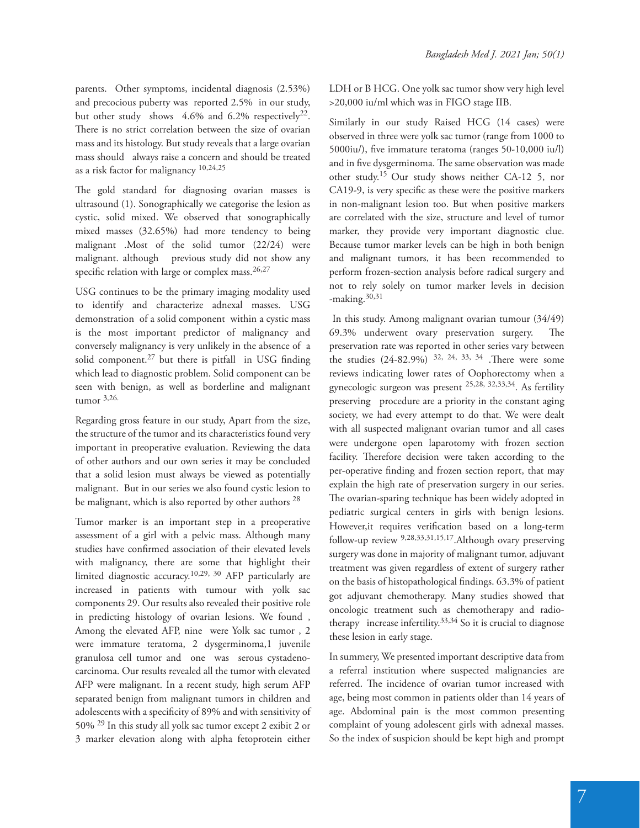parents. Other symptoms, incidental diagnosis (2.53%) and precocious puberty was reported 2.5% in our study, but other study shows 4.6% and 6.2% respectively<sup>22</sup>. There is no strict correlation between the size of ovarian mass and its histology. But study reveals that a large ovarian mass should always raise a concern and should be treated as a risk factor for malignancy 10,24,25

The gold standard for diagnosing ovarian masses is ultrasound (1). Sonographically we categorise the lesion as cystic, solid mixed. We observed that sonographically mixed masses (32.65%) had more tendency to being malignant .Most of the solid tumor (22/24) were malignant. although previous study did not show any specific relation with large or complex mass. $26,27$ 

USG continues to be the primary imaging modality used to identify and characterize adnexal masses. USG demonstration of a solid component within a cystic mass is the most important predictor of malignancy and conversely malignancy is very unlikely in the absence of a solid component.<sup>27</sup> but there is pitfall in USG finding which lead to diagnostic problem. Solid component can be seen with benign, as well as borderline and malignant tumor 3,26.

Regarding gross feature in our study, Apart from the size, the structure of the tumor and its characteristics found very important in preoperative evaluation. Reviewing the data of other authors and our own series it may be concluded that a solid lesion must always be viewed as potentially malignant. But in our series we also found cystic lesion to be malignant, which is also reported by other authors <sup>28</sup>

Tumor marker is an important step in a preoperative assessment of a girl with a pelvic mass. Although many studies have confirmed association of their elevated levels with malignancy, there are some that highlight their limited diagnostic accuracy.10,29, 30 AFP particularly are increased in patients with tumour with yolk sac components 29. Our results also revealed their positive role in predicting histology of ovarian lesions. We found , Among the elevated AFP, nine were Yolk sac tumor , 2 were immature teratoma, 2 dysgerminoma,1 juvenile granulosa cell tumor and one was serous cystadenocarcinoma. Our results revealed all the tumor with elevated AFP were malignant. In a recent study, high serum AFP separated benign from malignant tumors in children and adolescents with a specificity of 89% and with sensitivity of 50% 29 In this study all yolk sac tumor except 2 exibit 2 or 3 marker elevation along with alpha fetoprotein either

LDH or B HCG. One yolk sac tumor show very high level >20,000 iu/ml which was in FIGO stage IIB.

Similarly in our study Raised HCG (14 cases) were observed in three were yolk sac tumor (range from 1000 to 5000iu/), five immature teratoma (ranges 50-10,000 iu/l) and in five dysgerminoma. The same observation was made other study.15 Our study shows neither CA-12 5, nor CA19-9, is very specific as these were the positive markers in non-malignant lesion too. But when positive markers are correlated with the size, structure and level of tumor marker, they provide very important diagnostic clue. Because tumor marker levels can be high in both benign and malignant tumors, it has been recommended to perform frozen-section analysis before radical surgery and not to rely solely on tumor marker levels in decision -making.30,31

 In this study. Among malignant ovarian tumour (34/49)  $69.3\%$  underwent ovary preservation surgery. The preservation rate was reported in other series vary between the studies  $(24-82.9\%)$  <sup>32, 24, 33, 34</sup>. There were some reviews indicating lower rates of Oophorectomy when a gynecologic surgeon was present 25,28, 32,33,34. As fertility preserving procedure are a priority in the constant aging society, we had every attempt to do that. We were dealt with all suspected malignant ovarian tumor and all cases were undergone open laparotomy with frozen section facility. Therefore decision were taken according to the per-operative finding and frozen section report, that may explain the high rate of preservation surgery in our series. The ovarian-sparing technique has been widely adopted in pediatric surgical centers in girls with benign lesions. However, it requires verification based on a long-term follow-up review 9,28,33,31,15,17.Although ovary preserving surgery was done in majority of malignant tumor, adjuvant treatment was given regardless of extent of surgery rather on the basis of histopathological findings. 63.3% of patient got adjuvant chemotherapy. Many studies showed that oncologic treatment such as chemotherapy and radiotherapy increase infertility. $33,34$  So it is crucial to diagnose these lesion in early stage.

In summery, We presented important descriptive data from a referral institution where suspected malignancies are referred. The incidence of ovarian tumor increased with age, being most common in patients older than 14 years of age. Abdominal pain is the most common presenting complaint of young adolescent girls with adnexal masses. So the index of suspicion should be kept high and prompt

7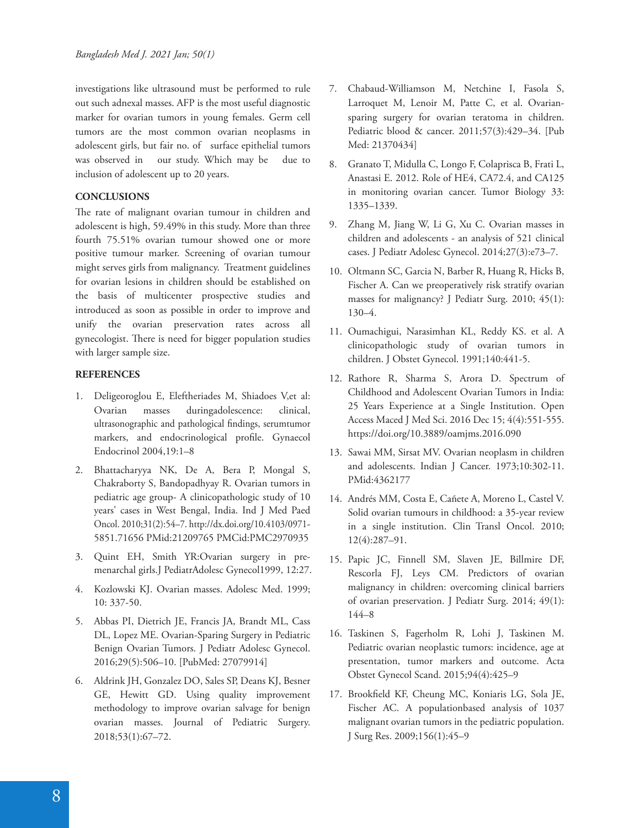investigations like ultrasound must be performed to rule out such adnexal masses. AFP is the most useful diagnostic marker for ovarian tumors in young females. Germ cell tumors are the most common ovarian neoplasms in adolescent girls, but fair no. of surface epithelial tumors was observed in our study. Which may be due to inclusion of adolescent up to 20 years.

# **CONCLUSIONS**

The rate of malignant ovarian tumour in children and adolescent is high, 59.49% in this study. More than three fourth 75.51% ovarian tumour showed one or more positive tumour marker. Screening of ovarian tumour might serves girls from malignancy. Treatment guidelines for ovarian lesions in children should be established on the basis of multicenter prospective studies and introduced as soon as possible in order to improve and unify the ovarian preservation rates across all gynecologist. There is need for bigger population studies with larger sample size.

## **REFERENCES**

- 1. Deligeoroglou E, Eleftheriades M, Shiadoes V,et al: Ovarian masses duringadolescence: clinical, ultrasonographic and pathological findings, serumtumor markers, and endocrinological profile. Gynaecol Endocrinol 2004,19:1–8
- 2. Bhattacharyya NK, De A, Bera P, Mongal S, Chakraborty S, Bandopadhyay R. Ovarian tumors in pediatric age group- A clinicopathologic study of 10 years' cases in West Bengal, India. Ind J Med Paed Oncol. 2010;31(2):54–7. http://dx.doi.org/10.4103/0971- 5851.71656 PMid:21209765 PMCid:PMC2970935
- 3. Quint EH, Smith YR:Ovarian surgery in premenarchal girls.J PediatrAdolesc Gynecol1999, 12:27.
- 4. Kozlowski KJ. Ovarian masses. Adolesc Med. 1999; 10: 337-50.
- 5. Abbas PI, Dietrich JE, Francis JA, Brandt ML, Cass DL, Lopez ME. Ovarian-Sparing Surgery in Pediatric Benign Ovarian Tumors. J Pediatr Adolesc Gynecol. 2016;29(5):506–10. [PubMed: 27079914]
- 6. Aldrink JH, Gonzalez DO, Sales SP, Deans KJ, Besner GE, Hewitt GD. Using quality improvement methodology to improve ovarian salvage for benign ovarian masses. Journal of Pediatric Surgery. 2018;53(1):67–72.
- 7. Chabaud‐Williamson M, Netchine I, Fasola S, Larroquet M, Lenoir M, Patte C, et al. Ovariansparing surgery for ovarian teratoma in children. Pediatric blood & cancer. 2011;57(3):429–34. [Pub Med: 21370434]
- 8. Granato T, Midulla C, Longo F, Colaprisca B, Frati L, Anastasi E. 2012. Role of HE4, CA72.4, and CA125 in monitoring ovarian cancer. Tumor Biology 33: 1335–1339.
- 9. Zhang M, Jiang W, Li G, Xu C. Ovarian masses in children and adolescents - an analysis of 521 clinical cases. J Pediatr Adolesc Gynecol. 2014;27(3):e73–7.
- 10. Oltmann SC, Garcia N, Barber R, Huang R, Hicks B, Fischer A. Can we preoperatively risk stratify ovarian masses for malignancy? J Pediatr Surg. 2010; 45(1): 130–4.
- 11. Oumachigui, Narasimhan KL, Reddy KS. et al. A clinicopathologic study of ovarian tumors in children. J Obstet Gynecol. 1991;140:441-5.
- 12. Rathore R, Sharma S, Arora D. Spectrum of Childhood and Adolescent Ovarian Tumors in India: 25 Years Experience at a Single Institution. Open Access Maced J Med Sci. 2016 Dec 15; 4(4):551-555. https://doi.org/10.3889/oamjms.2016.090
- 13. Sawai MM, Sirsat MV. Ovarian neoplasm in children and adolescents. Indian J Cancer. 1973;10:302-11. PMid:4362177
- 14. Andrés MM, Costa E, Cañete A, Moreno L, Castel V. Solid ovarian tumours in childhood: a 35-year review in a single institution. Clin Transl Oncol. 2010; 12(4):287–91.
- 15. Papic JC, Finnell SM, Slaven JE, Billmire DF, Rescorla FJ, Leys CM. Predictors of ovarian malignancy in children: overcoming clinical barriers of ovarian preservation. J Pediatr Surg. 2014; 49(1): 144–8
- 16. Taskinen S, Fagerholm R, Lohi J, Taskinen M. Pediatric ovarian neoplastic tumors: incidence, age at presentation, tumor markers and outcome. Acta Obstet Gynecol Scand. 2015;94(4):425–9
- 17. Brookfield KF, Cheung MC, Koniaris LG, Sola JE, Fischer AC. A populationbased analysis of 1037 malignant ovarian tumors in the pediatric population. J Surg Res. 2009;156(1):45–9